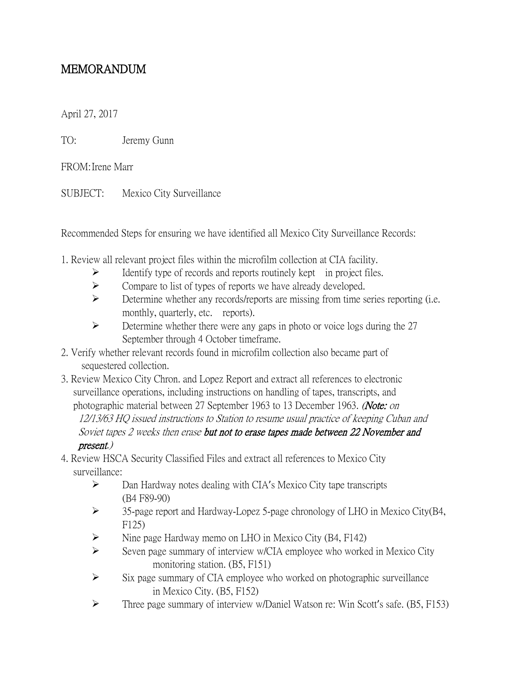## MEMORANDUM

April 27, 2017

TO: Jeremy Gunn

FROM:Irene Marr

SUBJECT: Mexico City Surveillance

Recommended Steps for ensuring we have identified all Mexico City Surveillance Records:

- 1. Review all relevant project files within the microfilm collection at CIA facility.
	- $\triangleright$  Identify type of records and reports routinely kept in project files.
	- $\triangleright$  Compare to list of types of reports we have already developed.
	- $\triangleright$  Determine whether any records/reports are missing from time series reporting (i.e. monthly, quarterly, etc. reports).
	- $\triangleright$  Determine whether there were any gaps in photo or voice logs during the 27 September through 4 October timeframe.
- 2. Verify whether relevant records found in microfilm collection also became part of sequestered collection.
- 3. Review Mexico City Chron. and Lopez Report and extract all references to electronic surveillance operations, including instructions on handling of tapes, transcripts, and photographic material between 27 September 1963 to 13 December 1963. (Note: on 12/13/63 HQ issued instructions to Station to resume usual practice of keeping Cuban and Soviet tapes 2 weeks then erase but not to erase tapes made between 22 November and present.)
- 4. Review HSCA Security Classified Files and extract all references to Mexico City surveillance:
	- Dan Hardway notes dealing with CIA's Mexico City tape transcripts (B4 F89-90)
	- 35-page report and Hardway-Lopez 5-page chronology of LHO in Mexico City(B4, F125)
	- $\triangleright$  Nine page Hardway memo on LHO in Mexico City (B4, F142)
	- $\triangleright$  Seven page summary of interview w/CIA employee who worked in Mexico City monitoring station. (B5, F151)
	- $\triangleright$  Six page summary of CIA employee who worked on photographic surveillance in Mexico City. (B5, F152)
	- $\triangleright$  Three page summary of interview w/Daniel Watson re: Win Scott's safe. (B5, F153)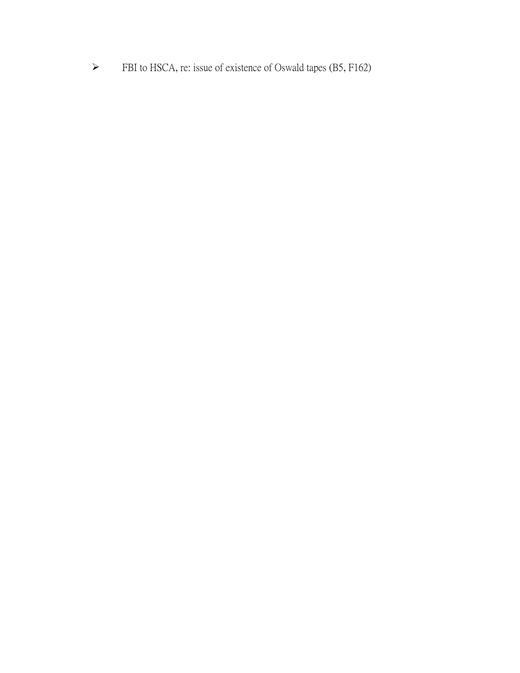FBI to HSCA, re: issue of existence of Oswald tapes (B5, F162)